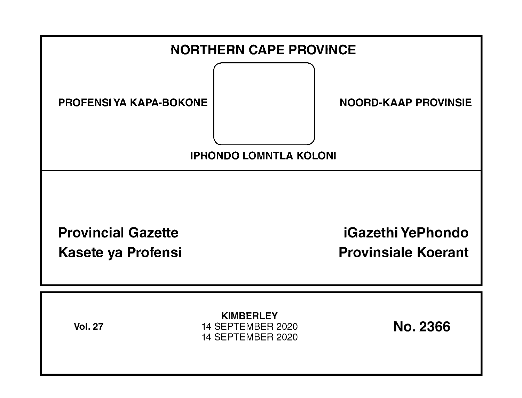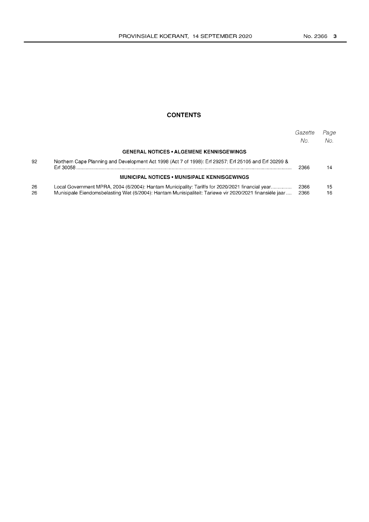# **CONTENTS**

|          |                                                                                                                                                                                                            | Gazette<br>No. | Page<br>No. |
|----------|------------------------------------------------------------------------------------------------------------------------------------------------------------------------------------------------------------|----------------|-------------|
|          | <b>GENERAL NOTICES • ALGEMENE KENNISGEWINGS</b>                                                                                                                                                            |                |             |
| 92       | Northern Cape Planning and Development Act 1998 (Act 7 of 1998): Erf 29257; Erf 25105 and Erf 30299 &<br>Frf 30058                                                                                         | 2366           | 14          |
|          | <b>MUNICIPAL NOTICES • MUNISIPALE KENNISGEWINGS</b>                                                                                                                                                        |                |             |
| 26<br>26 | Local Government MPRA, 2004 (6/2004): Hantam Municipality: Tariffs for 2020/2021 financial vear<br>Munisipale Eiendomsbelasting Wet (6/2004): Hantam Munisipaliteit: Tariewe vir 2020/2021 finansiële jaar | 2366<br>2366   | 15<br>16    |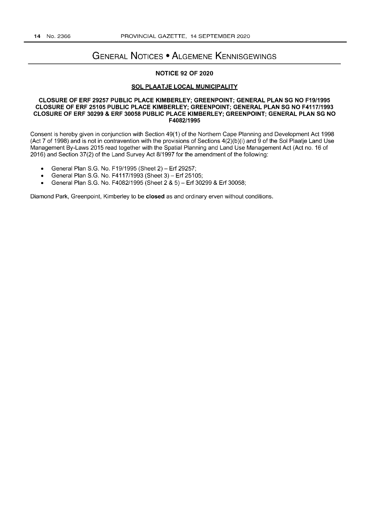# **GENERAL NOTICES • ALGEMENE KENNISGEWINGS**

### **NOTICE 92 OF 2020**

#### **SOL PLAATJE LOCAL MUNICIPALITY**

#### **CLOSURE OF ERF 29257 PUBLIC PLACE KIMBERLEY; GREENPOINT; GENERAL PLAN SG NO F19/1995 CLOSURE OF ERF 25105 PUBLIC PLACE KIMBERLEY; GREENPOINT; GENERAL PLAN SG NO F4117/1993 CLOSURE OF ERF 30299 & ERF 30058 PUBLIC PLACE KIMBERLEY; GREENPOINT; GENERAL PLAN SG NO F4082/1995**

Consent is hereby given in conjunction with Section 49(1) of the Northern Cape Planning and Development Act 1998 (Act 7 of 1998) and is not in contravention with the provisions of Sections 4(2)(b )(i) and 9 of the Sol Plaatje Land Use Management By-Laws 2015 read together with the Spatial Planning and Land Use Management Act (Act no. 16 of 2016) and Section 37(2) of the Land Survey Act 8/1997 for the amendment of the following:

- General Plan S.G. No. F19/1995 (Sheet 2) **Erf** 29257;
- General Plan S.G. No. F4117/1993 (Sheet 3) **Erf** 25105;
- General Plan S.G. No. F4082/1995 (Sheet 2 & 5) **Erf** 30299 & **Erf** 30058;

Diamond Park, Greenpoint, Kimberley to be **closed** as and ordinary erven without conditions.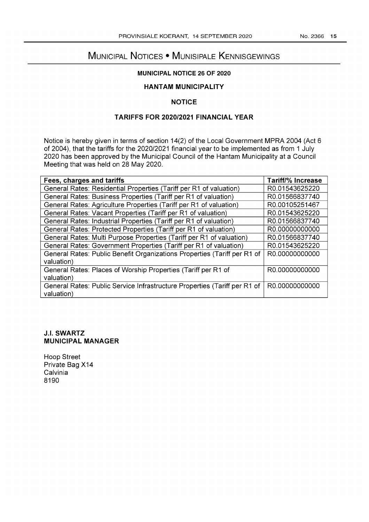# MUNICIPAL NOTICES • MUNISIPALE KENNISGEWINGS

# **MUNICIPAL NOTICE 26 OF 2020**

# **HANTAM MUNICIPALITY**

# **NOTICE**

# **TARIFFS FOR 2020/2021 FINANCIAL YEAR**

Notice is hereby given in terms of section 14(2) of the Local Government MPRA 2004 (Act 6 of 2004), that the tariffs for the 2020/2021 financial year to be implemented as from 1 July 2020 has been approved by the Municipal Council of the Hantam Municipality at a Council Meeting that was held on 28 May 2020.

| Fees, charges and tariffs                                                 | <b>Tariff/% Increase</b> |
|---------------------------------------------------------------------------|--------------------------|
| General Rates: Residential Properties (Tariff per R1 of valuation)        | R0.01543625220           |
| General Rates: Business Properties (Tariff per R1 of valuation)           | R0.01566837740           |
| General Rates: Agriculture Properties (Tariff per R1 of valuation)        | R0.00105251467           |
| General Rates: Vacant Properties (Tariff per R1 of valuation)             | R0.01543625220           |
| General Rates: Industrial Properties (Tariff per R1 of valuation)         | R0.01566837740           |
| General Rates: Protected Properties (Tariff per R1 of valuation)          | R0.00000000000           |
| General Rates: Multi Purpose Properties (Tariff per R1 of valuation)      | R0.01566837740           |
| General Rates: Government Properties (Tariff per R1 of valuation)         | R0.01543625220           |
| General Rates: Public Benefit Organizations Properties (Tariff per R1 of  | R0.00000000000           |
| valuation)                                                                |                          |
| General Rates: Places of Worship Properties (Tariff per R1 of             | R0.00000000000           |
| valuation)                                                                |                          |
| General Rates: Public Service Infrastructure Properties (Tariff per R1 of | R0.00000000000           |
| valuation)                                                                |                          |

# **J.I. SWARTZ MUNICIPAL MANAGER**

Hoop Street Private Bag X14 Calvinia 8190